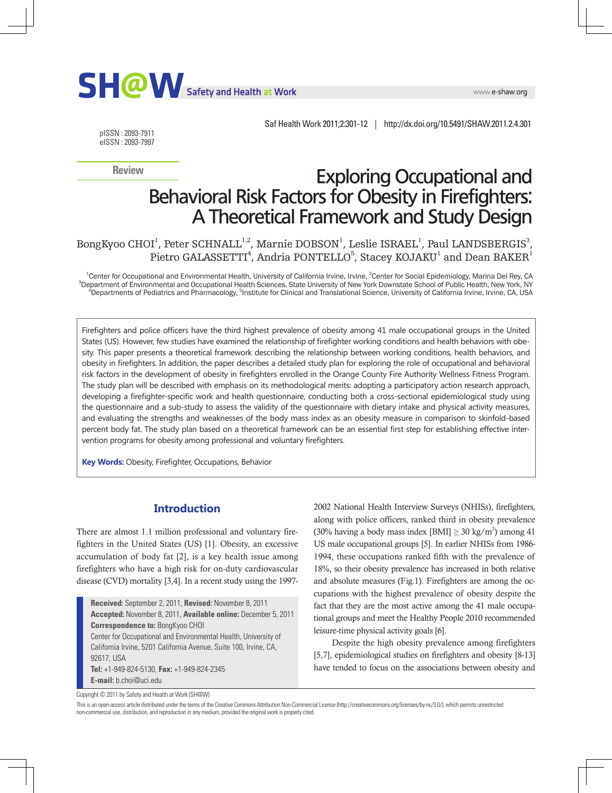www.e-shaw.org



pISSN : 2093-7911 eISSN : 2093-7997

**Review**

# Exploring Occupational and Behavioral Risk Factors for Obesity in Firefighters: A Theoretical Framework and Study Design

Saf Health Work 2011;2:301-12 | http://dx.doi.org/10.5491/SHAW.2011.2.4.301

# BongKyoo CHOI $^{\rm l}$ , Peter SCHNALL $^{\rm l,2}$ , Marnie DOBSON $^{\rm l}$ , Leslie ISRAEL $^{\rm l}$ , Paul LANDSBERGIS $^{\rm 3}$ , Pietro GALASSETTI $^{\rm 4}$ , Andria PONTELLO $^{\rm 5}$ , Stacey KOJAKU $^{\rm 1}$  and Dean BAKER $^{\rm 1}$

<sup>1</sup> Center for Occupational and Environmental Health, University of California Irvine, Irvine, <sup>2</sup>Center for Social Epidemiology, Marina Del Rey, CA 3<br><sup>3</sup> Denartment of Environmental and Occupational Health Sciences, State <sup>3</sup>Department of Environmental and Occupational Health Sciences, State University of New York Downstate School of Public Health, New York, NY Departments of Pediatrics and Pharmacology, <sup>5</sup>Institute for Clinical and Translational Science, University of California Irvine, Irvine, CA, USA

Firefighters and police officers have the third highest prevalence of obesity among 41 male occupational groups in the United States (US). However, few studies have examined the relationship of firefighter working conditions and health behaviors with obesity. This paper presents a theoretical framework describing the relationship between working conditions, health behaviors, and obesity in firefighters. In addition, the paper describes a detailed study plan for exploring the role of occupational and behavioral risk factors in the development of obesity in firefighters enrolled in the Orange County Fire Authority Wellness Fitness Program. The study plan will be described with emphasis on its methodological merits: adopting a participatory action research approach, developing a firefighter-specific work and health questionnaire, conducting both a cross-sectional epidemiological study using the questionnaire and a sub-study to assess the validity of the questionnaire with dietary intake and physical activity measures, and evaluating the strengths and weaknesses of the body mass index as an obesity measure in comparison to skinfold-based percent body fat. The study plan based on a theoretical framework can be an essential first step for establishing effective intervention programs for obesity among professional and voluntary firefighters.

**Key Words:** Obesity, Firefighter, Occupations, Behavior

# **Introduction**

There are almost 1.1 million professional and voluntary firefighters in the United States (US) [1]. Obesity, an excessive accumulation of body fat [2], is a key health issue among firefighters who have a high risk for on-duty cardiovascular disease (CVD) mortality [3,4]. In a recent study using the 1997-

**Received:** September 2, 2011, **Revised:** November 8, 2011 **Accepted:** November 8, 2011, **Available online:** December 5, 2011 **Correspondence to:** BongKyoo CHOI Center for Occupational and Environmental Health, University of California Irvine, 5201 California Avenue, Suite 100, Irvine, CA, 92617, USA **Tel:** +1-949-824-5130, **Fax:** +1-949-824-2345 **E-mail:** b.choi@uci.edu

2002 National Health Interview Surveys (NHISs), firefighters, along with police officers, ranked third in obesity prevalence (30% having a body mass index [BMI]  $\geq$  30 kg/m<sup>2</sup>) among 41 US male occupational groups [5]. In earlier NHISs from 1986- 1994, these occupations ranked fifth with the prevalence of 18%, so their obesity prevalence has increased in both relative and absolute measures (Fig.1). Firefighters are among the occupations with the highest prevalence of obesity despite the fact that they are the most active among the 41 male occupational groups and meet the Healthy People 2010 recommended leisure-time physical activity goals [6].

Despite the high obesity prevalence among firefighters [5,7], epidemiological studies on firefighters and obesity [8-13] have tended to focus on the associations between obesity and

Copyright © 2011 by Safety and Health at Work (SH@W)

This is an open-access article distributed under the terms of the Creative Commons Attribution Non-Commercial License (http://creativecommons.org/licenses/by-nc/3.0/), which permits unrestricted non-commercial use, distribution, and reproduction in any medium, provided the original work is properly cited.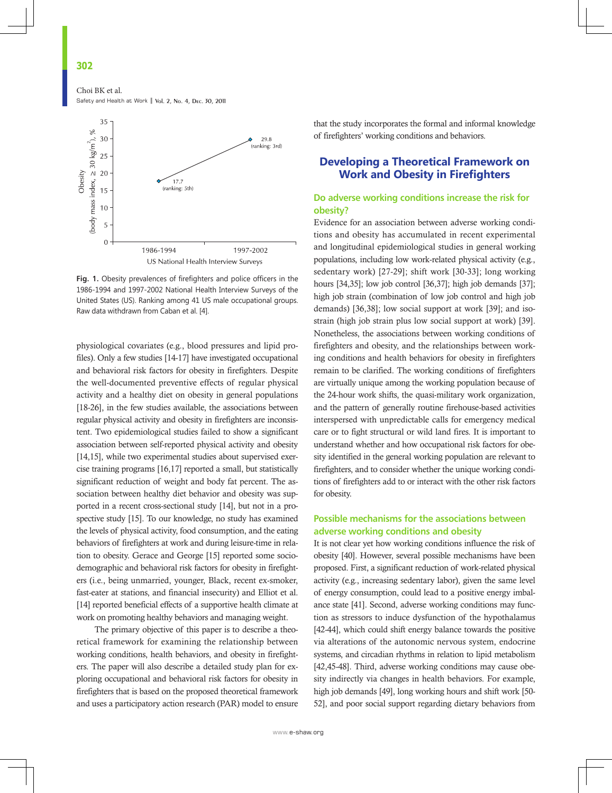



**Fig. 1.** Obesity prevalences of firefighters and police officers in the 1986-1994 and 1997-2002 National Health Interview Surveys of the United States (US). Ranking among 41 US male occupational groups. Raw data withdrawn from Caban et al. [4].

physiological covariates (e.g., blood pressures and lipid profiles). Only a few studies [14-17] have investigated occupational and behavioral risk factors for obesity in firefighters. Despite the well-documented preventive effects of regular physical activity and a healthy diet on obesity in general populations [18-26], in the few studies available, the associations between regular physical activity and obesity in firefighters are inconsistent. Two epidemiological studies failed to show a significant association between self-reported physical activity and obesity [14,15], while two experimental studies about supervised exercise training programs [16,17] reported a small, but statistically significant reduction of weight and body fat percent. The association between healthy diet behavior and obesity was supported in a recent cross-sectional study [14], but not in a prospective study [15]. To our knowledge, no study has examined the levels of physical activity, food consumption, and the eating behaviors of firefighters at work and during leisure-time in relation to obesity. Gerace and George [15] reported some sociodemographic and behavioral risk factors for obesity in firefighters (i.e., being unmarried, younger, Black, recent ex-smoker, fast-eater at stations, and financial insecurity) and Elliot et al. [14] reported beneficial effects of a supportive health climate at work on promoting healthy behaviors and managing weight.

The primary objective of this paper is to describe a theoretical framework for examining the relationship between working conditions, health behaviors, and obesity in firefighters. The paper will also describe a detailed study plan for exploring occupational and behavioral risk factors for obesity in firefighters that is based on the proposed theoretical framework and uses a participatory action research (PAR) model to ensure that the study incorporates the formal and informal knowledge of firefighters' working conditions and behaviors.

# **Developing a Theoretical Framework on Work and Obesity in Firefighters**

## **Do adverse working conditions increase the risk for obesity?**

Evidence for an association between adverse working conditions and obesity has accumulated in recent experimental and longitudinal epidemiological studies in general working populations, including low work-related physical activity (e.g., sedentary work) [27-29]; shift work [30-33]; long working hours [34,35]; low job control [36,37]; high job demands [37]; high job strain (combination of low job control and high job demands) [36,38]; low social support at work [39]; and isostrain (high job strain plus low social support at work) [39]. Nonetheless, the associations between working conditions of firefighters and obesity, and the relationships between working conditions and health behaviors for obesity in firefighters remain to be clarified. The working conditions of firefighters are virtually unique among the working population because of the 24-hour work shifts, the quasi-military work organization, and the pattern of generally routine firehouse-based activities interspersed with unpredictable calls for emergency medical care or to fight structural or wild land fires. It is important to understand whether and how occupational risk factors for obesity identified in the general working population are relevant to firefighters, and to consider whether the unique working conditions of firefighters add to or interact with the other risk factors for obesity.

### **Possible mechanisms for the associations between adverse working conditions and obesity**

It is not clear yet how working conditions influence the risk of obesity [40]. However, several possible mechanisms have been proposed. First, a significant reduction of work-related physical activity (e.g., increasing sedentary labor), given the same level of energy consumption, could lead to a positive energy imbalance state [41]. Second, adverse working conditions may function as stressors to induce dysfunction of the hypothalamus [42-44], which could shift energy balance towards the positive via alterations of the autonomic nervous system, endocrine systems, and circadian rhythms in relation to lipid metabolism [42,45-48]. Third, adverse working conditions may cause obesity indirectly via changes in health behaviors. For example, high job demands [49], long working hours and shift work [50- 52], and poor social support regarding dietary behaviors from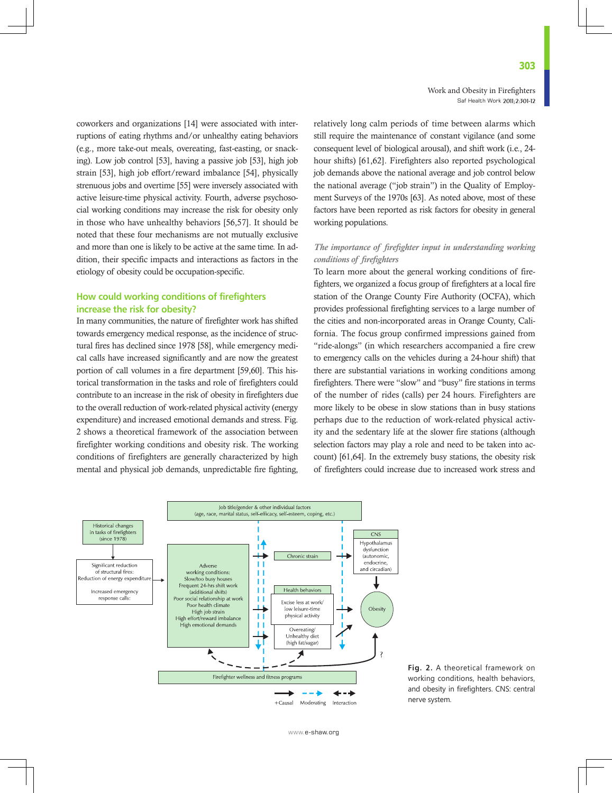coworkers and organizations [14] were associated with interruptions of eating rhythms and/or unhealthy eating behaviors (e.g., more take-out meals, overeating, fast-easting, or snacking). Low job control [53], having a passive job [53], high job strain [53], high job effort/reward imbalance [54], physically strenuous jobs and overtime [55] were inversely associated with active leisure-time physical activity. Fourth, adverse psychosocial working conditions may increase the risk for obesity only in those who have unhealthy behaviors [56,57]. It should be noted that these four mechanisms are not mutually exclusive and more than one is likely to be active at the same time. In addition, their specific impacts and interactions as factors in the etiology of obesity could be occupation-specific.

## **How could working conditions of firefighters increase the risk for obesity?**

In many communities, the nature of firefighter work has shifted towards emergency medical response, as the incidence of structural fires has declined since 1978 [58], while emergency medical calls have increased significantly and are now the greatest portion of call volumes in a fire department [59,60]. This historical transformation in the tasks and role of firefighters could contribute to an increase in the risk of obesity in firefighters due to the overall reduction of work-related physical activity (energy expenditure) and increased emotional demands and stress. Fig. 2 shows a theoretical framework of the association between firefighter working conditions and obesity risk. The working conditions of firefighters are generally characterized by high mental and physical job demands, unpredictable fire fighting, relatively long calm periods of time between alarms which still require the maintenance of constant vigilance (and some

Work and Obesity in Firefighters Saf Health Work **2011;2:301**-**12**

consequent level of biological arousal), and shift work (i.e., 24 hour shifts) [61,62]. Firefighters also reported psychological job demands above the national average and job control below the national average ("job strain") in the Quality of Employment Surveys of the 1970s [63]. As noted above, most of these factors have been reported as risk factors for obesity in general working populations.

# *The importance of firefighter input in understanding working conditions of firefighters*

To learn more about the general working conditions of firefighters, we organized a focus group of firefighters at a local fire station of the Orange County Fire Authority (OCFA), which provides professional firefighting services to a large number of the cities and non-incorporated areas in Orange County, California. The focus group confirmed impressions gained from "ride-alongs" (in which researchers accompanied a fire crew to emergency calls on the vehicles during a 24-hour shift) that there are substantial variations in working conditions among firefighters. There were "slow" and "busy" fire stations in terms of the number of rides (calls) per 24 hours. Firefighters are more likely to be obese in slow stations than in busy stations perhaps due to the reduction of work-related physical activity and the sedentary life at the slower fire stations (although selection factors may play a role and need to be taken into account) [61,64]. In the extremely busy stations, the obesity risk of firefighters could increase due to increased work stress and



**Fig. 2.** A theoretical framework on working conditions, health behaviors, and obesity in firefighters. CNS: central nerve system.

**303**

www.e-shaw.org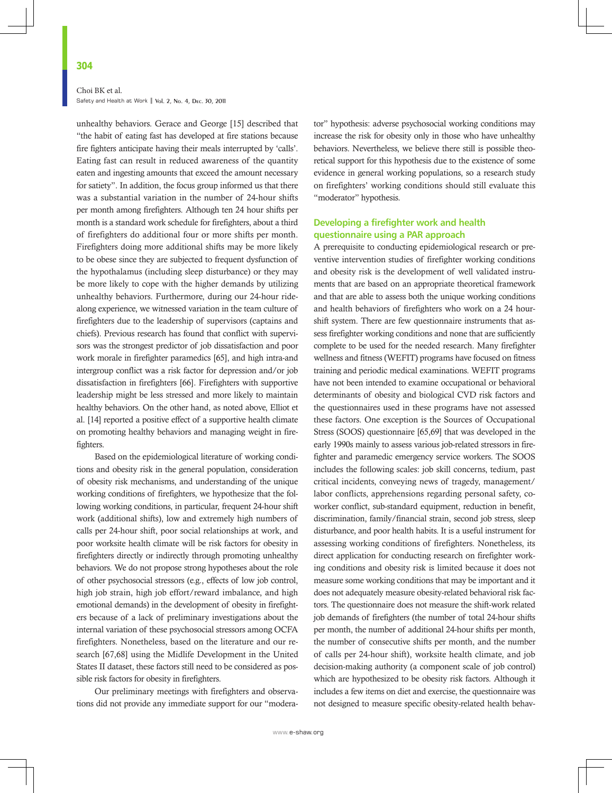#### Choi BK et al. Safety and Health at Work | **Vol. 2, No. 4, Dec. 30, 2011**

unhealthy behaviors. Gerace and George [15] described that "the habit of eating fast has developed at fire stations because fire fighters anticipate having their meals interrupted by 'calls'. Eating fast can result in reduced awareness of the quantity eaten and ingesting amounts that exceed the amount necessary for satiety". In addition, the focus group informed us that there was a substantial variation in the number of 24-hour shifts per month among firefighters. Although ten 24 hour shifts per month is a standard work schedule for firefighters, about a third of firefighters do additional four or more shifts per month. Firefighters doing more additional shifts may be more likely to be obese since they are subjected to frequent dysfunction of the hypothalamus (including sleep disturbance) or they may be more likely to cope with the higher demands by utilizing unhealthy behaviors. Furthermore, during our 24-hour ridealong experience, we witnessed variation in the team culture of firefighters due to the leadership of supervisors (captains and chiefs). Previous research has found that conflict with supervisors was the strongest predictor of job dissatisfaction and poor work morale in firefighter paramedics [65], and high intra-and intergroup conflict was a risk factor for depression and/or job dissatisfaction in firefighters [66]. Firefighters with supportive leadership might be less stressed and more likely to maintain healthy behaviors. On the other hand, as noted above, Elliot et al. [14] reported a positive effect of a supportive health climate on promoting healthy behaviors and managing weight in firefighters.

Based on the epidemiological literature of working conditions and obesity risk in the general population, consideration of obesity risk mechanisms, and understanding of the unique working conditions of firefighters, we hypothesize that the following working conditions, in particular, frequent 24-hour shift work (additional shifts), low and extremely high numbers of calls per 24-hour shift, poor social relationships at work, and poor worksite health climate will be risk factors for obesity in firefighters directly or indirectly through promoting unhealthy behaviors. We do not propose strong hypotheses about the role of other psychosocial stressors (e.g., effects of low job control, high job strain, high job effort/reward imbalance, and high emotional demands) in the development of obesity in firefighters because of a lack of preliminary investigations about the internal variation of these psychosocial stressors among OCFA firefighters. Nonetheless, based on the literature and our research [67,68] using the Midlife Development in the United States II dataset, these factors still need to be considered as possible risk factors for obesity in firefighters.

Our preliminary meetings with firefighters and observations did not provide any immediate support for our "moderator" hypothesis: adverse psychosocial working conditions may increase the risk for obesity only in those who have unhealthy behaviors. Nevertheless, we believe there still is possible theoretical support for this hypothesis due to the existence of some evidence in general working populations, so a research study on firefighters' working conditions should still evaluate this "moderator" hypothesis.

### **Developing a firefighter work and health questionnaire using a PAR approach**

A prerequisite to conducting epidemiological research or preventive intervention studies of firefighter working conditions and obesity risk is the development of well validated instruments that are based on an appropriate theoretical framework and that are able to assess both the unique working conditions and health behaviors of firefighters who work on a 24 hourshift system. There are few questionnaire instruments that assess firefighter working conditions and none that are sufficiently complete to be used for the needed research. Many firefighter wellness and fitness (WEFIT) programs have focused on fitness training and periodic medical examinations. WEFIT programs have not been intended to examine occupational or behavioral determinants of obesity and biological CVD risk factors and the questionnaires used in these programs have not assessed these factors. One exception is the Sources of Occupational Stress (SOOS) questionnaire [65,69] that was developed in the early 1990s mainly to assess various job-related stressors in firefighter and paramedic emergency service workers. The SOOS includes the following scales: job skill concerns, tedium, past critical incidents, conveying news of tragedy, management/ labor conflicts, apprehensions regarding personal safety, coworker conflict, sub-standard equipment, reduction in benefit, discrimination, family/financial strain, second job stress, sleep disturbance, and poor health habits. It is a useful instrument for assessing working conditions of firefighters. Nonetheless, its direct application for conducting research on firefighter working conditions and obesity risk is limited because it does not measure some working conditions that may be important and it does not adequately measure obesity-related behavioral risk factors. The questionnaire does not measure the shift-work related job demands of firefighters (the number of total 24-hour shifts per month, the number of additional 24-hour shifts per month, the number of consecutive shifts per month, and the number of calls per 24-hour shift), worksite health climate, and job decision-making authority (a component scale of job control) which are hypothesized to be obesity risk factors. Although it includes a few items on diet and exercise, the questionnaire was not designed to measure specific obesity-related health behav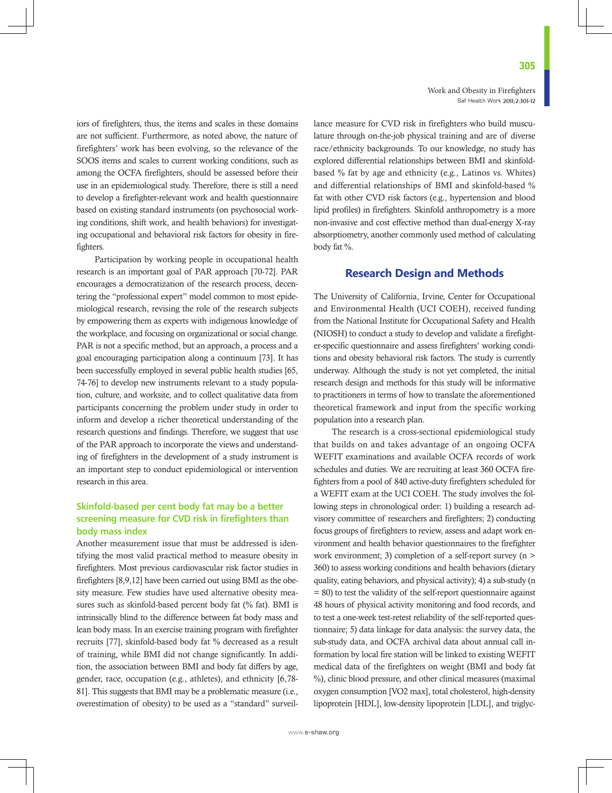iors of firefighters, thus, the items and scales in these domains are not sufficient. Furthermore, as noted above, the nature of firefighters' work has been evolving, so the relevance of the SOOS items and scales to current working conditions, such as among the OCFA firefighters, should be assessed before their use in an epidemiological study. Therefore, there is still a need to develop a firefighter-relevant work and health questionnaire based on existing standard instruments (on psychosocial working conditions, shift work, and health behaviors) for investigating occupational and behavioral risk factors for obesity in firefighters.

Participation by working people in occupational health research is an important goal of PAR approach [70-72]. PAR encourages a democratization of the research process, decentering the "professional expert" model common to most epidemiological research, revising the role of the research subjects by empowering them as experts with indigenous knowledge of the workplace, and focusing on organizational or social change. PAR is not a specific method, but an approach, a process and a goal encouraging participation along a continuum [73]. It has been successfully employed in several public health studies [65, 74-76] to develop new instruments relevant to a study population, culture, and worksite, and to collect qualitative data from participants concerning the problem under study in order to inform and develop a richer theoretical understanding of the research questions and findings. Therefore, we suggest that use of the PAR approach to incorporate the views and understanding of firefighters in the development of a study instrument is an important step to conduct epidemiological or intervention research in this area.

# **Skinfold-based per cent body fat may be a better screening measure for CVD risk in firefighters than body mass index**

Another measurement issue that must be addressed is identifying the most valid practical method to measure obesity in firefighters. Most previous cardiovascular risk factor studies in firefighters [8,9,12] have been carried out using BMI as the obesity measure. Few studies have used alternative obesity measures such as skinfold-based percent body fat (% fat). BMI is intrinsically blind to the difference between fat body mass and lean body mass. In an exercise training program with firefighter recruits [77], skinfold-based body fat % decreased as a result of training, while BMI did not change significantly. In addition, the association between BMI and body fat differs by age, gender, race, occupation (e.g., athletes), and ethnicity [6,78- 81]. This suggests that BMI may be a problematic measure (i.e., overestimation of obesity) to be used as a "standard" surveilWork and Obesity in Firefighters Saf Health Work **2011;2:301**-**12**

lance measure for CVD risk in firefighters who build musculature through on-the-job physical training and are of diverse race/ethnicity backgrounds. To our knowledge, no study has explored differential relationships between BMI and skinfoldbased % fat by age and ethnicity (e.g., Latinos vs. Whites) and differential relationships of BMI and skinfold-based % fat with other CVD risk factors (e.g., hypertension and blood lipid profiles) in firefighters. Skinfold anthropometry is a more non-invasive and cost effective method than dual-energy X-ray absorptiometry, another commonly used method of calculating body fat %.

### **Research Design and Methods**

The University of California, Irvine, Center for Occupational and Environmental Health (UCI COEH), received funding from the National Institute for Occupational Safety and Health (NIOSH) to conduct a study to develop and validate a firefighter-specific questionnaire and assess firefighters' working conditions and obesity behavioral risk factors. The study is currently underway. Although the study is not yet completed, the initial research design and methods for this study will be informative to practitioners in terms of how to translate the aforementioned theoretical framework and input from the specific working population into a research plan.

The research is a cross-sectional epidemiological study that builds on and takes advantage of an ongoing OCFA WEFIT examinations and available OCFA records of work schedules and duties. We are recruiting at least 360 OCFA firefighters from a pool of 840 active-duty firefighters scheduled for a WEFIT exam at the UCI COEH. The study involves the following steps in chronological order: 1) building a research advisory committee of researchers and firefighters; 2) conducting focus groups of firefighters to review, assess and adapt work environment and health behavior questionnaires to the firefighter work environment; 3) completion of a self-report survey (n > 360) to assess working conditions and health behaviors (dietary quality, eating behaviors, and physical activity); 4) a sub-study (n = 80) to test the validity of the self-report questionnaire against 48 hours of physical activity monitoring and food records, and to test a one-week test-retest reliability of the self-reported questionnaire; 5) data linkage for data analysis: the survey data, the sub-study data, and OCFA archival data about annual call information by local fire station will be linked to existing WEFIT medical data of the firefighters on weight (BMI and body fat %), clinic blood pressure, and other clinical measures (maximal oxygen consumption [VO2 max], total cholesterol, high-density lipoprotein [HDL], low-density lipoprotein [LDL], and triglyc-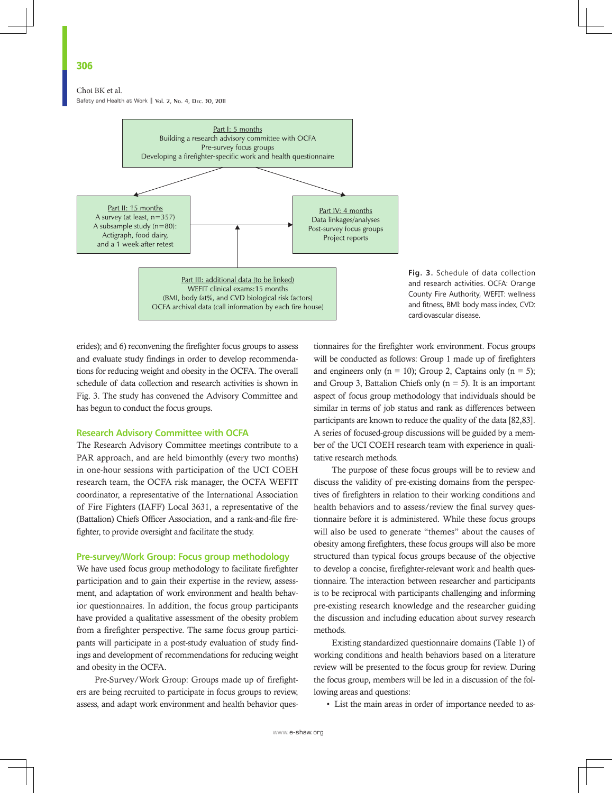### Choi BK et al. Safety and Health at Work | **Vol. 2, No. 4, Dec. 30, 2011**



**Fig. 3.** Schedule of data collection and research activities. OCFA: Orange County Fire Authority, WEFIT: wellness and fitness, BMI: body mass index, CVD: cardiovascular disease.

erides); and 6) reconvening the firefighter focus groups to assess and evaluate study findings in order to develop recommendations for reducing weight and obesity in the OCFA. The overall schedule of data collection and research activities is shown in Fig. 3. The study has convened the Advisory Committee and has begun to conduct the focus groups.

#### **Research Advisory Committee with OCFA**

The Research Advisory Committee meetings contribute to a PAR approach, and are held bimonthly (every two months) in one-hour sessions with participation of the UCI COEH research team, the OCFA risk manager, the OCFA WEFIT coordinator, a representative of the International Association of Fire Fighters (IAFF) Local 3631, a representative of the (Battalion) Chiefs Officer Association, and a rank-and-file firefighter, to provide oversight and facilitate the study.

#### **Pre-survey/Work Group: Focus group methodology**

We have used focus group methodology to facilitate firefighter participation and to gain their expertise in the review, assessment, and adaptation of work environment and health behavior questionnaires. In addition, the focus group participants have provided a qualitative assessment of the obesity problem from a firefighter perspective. The same focus group participants will participate in a post-study evaluation of study findings and development of recommendations for reducing weight and obesity in the OCFA.

Pre-Survey/Work Group: Groups made up of firefighters are being recruited to participate in focus groups to review, assess, and adapt work environment and health behavior ques-

tionnaires for the firefighter work environment. Focus groups will be conducted as follows: Group 1 made up of firefighters and engineers only ( $n = 10$ ); Group 2, Captains only ( $n = 5$ ); and Group 3, Battalion Chiefs only  $(n = 5)$ . It is an important aspect of focus group methodology that individuals should be similar in terms of job status and rank as differences between participants are known to reduce the quality of the data [82,83]. A series of focused-group discussions will be guided by a member of the UCI COEH research team with experience in qualitative research methods.

The purpose of these focus groups will be to review and discuss the validity of pre-existing domains from the perspectives of firefighters in relation to their working conditions and health behaviors and to assess/review the final survey questionnaire before it is administered. While these focus groups will also be used to generate "themes" about the causes of obesity among firefighters, these focus groups will also be more structured than typical focus groups because of the objective to develop a concise, firefighter-relevant work and health questionnaire. The interaction between researcher and participants is to be reciprocal with participants challenging and informing pre-existing research knowledge and the researcher guiding the discussion and including education about survey research methods.

Existing standardized questionnaire domains (Table 1) of working conditions and health behaviors based on a literature review will be presented to the focus group for review. During the focus group, members will be led in a discussion of the following areas and questions:

• List the main areas in order of importance needed to as-

# **306**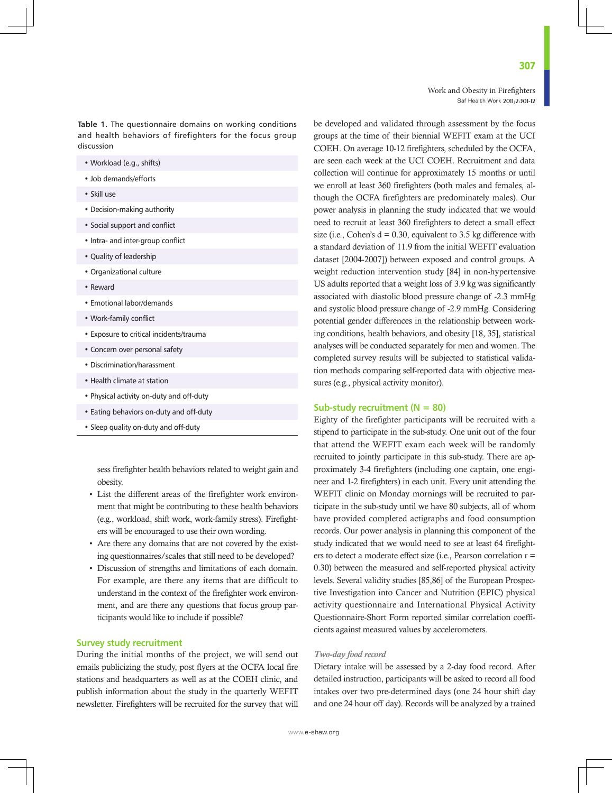**Table 1.** The questionnaire domains on working conditions and health behaviors of firefighters for the focus group discussion

- Workload (e.g., shifts)
- Job demands/efforts
- Skill use
- Decision-making authority
- Social support and conflict
- Intra- and inter-group conflict
- Quality of leadership
- Organizational culture
- Reward
- Emotional labor/demands
- Work-family conflict
- Exposure to critical incidents/trauma
- Concern over personal safety
- Discrimination/harassment
- Health climate at station
- Physical activity on-duty and off-duty
- Eating behaviors on-duty and off-duty
- Sleep quality on-duty and off-duty

sess firefighter health behaviors related to weight gain and obesity.

- List the different areas of the firefighter work environment that might be contributing to these health behaviors (e.g., workload, shift work, work-family stress). Firefighters will be encouraged to use their own wording.
- Are there any domains that are not covered by the existing questionnaires/scales that still need to be developed?
- Discussion of strengths and limitations of each domain. For example, are there any items that are difficult to understand in the context of the firefighter work environment, and are there any questions that focus group participants would like to include if possible?

#### **Survey study recruitment**

During the initial months of the project, we will send out emails publicizing the study, post flyers at the OCFA local fire stations and headquarters as well as at the COEH clinic, and publish information about the study in the quarterly WEFIT newsletter. Firefighters will be recruited for the survey that will Work and Obesity in Firefighters Saf Health Work **2011;2:301**-**12**

be developed and validated through assessment by the focus groups at the time of their biennial WEFIT exam at the UCI COEH. On average 10-12 firefighters, scheduled by the OCFA, are seen each week at the UCI COEH. Recruitment and data collection will continue for approximately 15 months or until we enroll at least 360 firefighters (both males and females, although the OCFA firefighters are predominately males). Our power analysis in planning the study indicated that we would need to recruit at least 360 firefighters to detect a small effect size (i.e., Cohen's  $d = 0.30$ , equivalent to 3.5 kg difference with a standard deviation of 11.9 from the initial WEFIT evaluation dataset [2004-2007]) between exposed and control groups. A weight reduction intervention study [84] in non-hypertensive US adults reported that a weight loss of 3.9 kg was significantly associated with diastolic blood pressure change of -2.3 mmHg and systolic blood pressure change of -2.9 mmHg. Considering potential gender differences in the relationship between working conditions, health behaviors, and obesity [18, 35], statistical analyses will be conducted separately for men and women. The completed survey results will be subjected to statistical validation methods comparing self-reported data with objective measures (e.g., physical activity monitor).

#### **Sub-study recruitment (N = 80)**

Eighty of the firefighter participants will be recruited with a stipend to participate in the sub-study. One unit out of the four that attend the WEFIT exam each week will be randomly recruited to jointly participate in this sub-study. There are approximately 3-4 firefighters (including one captain, one engineer and 1-2 firefighters) in each unit. Every unit attending the WEFIT clinic on Monday mornings will be recruited to participate in the sub-study until we have 80 subjects, all of whom have provided completed actigraphs and food consumption records. Our power analysis in planning this component of the study indicated that we would need to see at least 64 firefighters to detect a moderate effect size (i.e., Pearson correlation r = 0.30) between the measured and self-reported physical activity levels. Several validity studies [85,86] of the European Prospective Investigation into Cancer and Nutrition (EPIC) physical activity questionnaire and International Physical Activity Questionnaire-Short Form reported similar correlation coefficients against measured values by accelerometers.

#### *Two-day food record*

Dietary intake will be assessed by a 2-day food record. After detailed instruction, participants will be asked to record all food intakes over two pre-determined days (one 24 hour shift day and one 24 hour off day). Records will be analyzed by a trained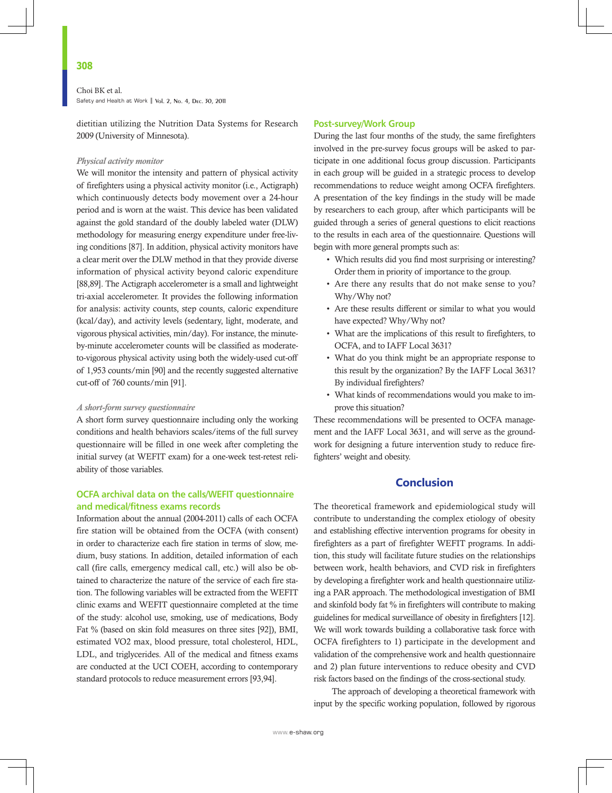Choi BK et al. Safety and Health at Work | **Vol. 2, No. 4, Dec. 30, 2011**

dietitian utilizing the Nutrition Data Systems for Research 2009 (University of Minnesota).

### *Physical activity monitor*

We will monitor the intensity and pattern of physical activity of firefighters using a physical activity monitor (i.e., Actigraph) which continuously detects body movement over a 24-hour period and is worn at the waist. This device has been validated against the gold standard of the doubly labeled water (DLW) methodology for measuring energy expenditure under free-living conditions [87]. In addition, physical activity monitors have a clear merit over the DLW method in that they provide diverse information of physical activity beyond caloric expenditure [88,89]. The Actigraph accelerometer is a small and lightweight tri-axial accelerometer. It provides the following information for analysis: activity counts, step counts, caloric expenditure (kcal/day), and activity levels (sedentary, light, moderate, and vigorous physical activities, min/day). For instance, the minuteby-minute accelerometer counts will be classified as moderateto-vigorous physical activity using both the widely-used cut-off of 1,953 counts/min [90] and the recently suggested alternative cut-off of 760 counts/min [91].

#### *A short-form survey questionnaire*

A short form survey questionnaire including only the working conditions and health behaviors scales/items of the full survey questionnaire will be filled in one week after completing the initial survey (at WEFIT exam) for a one-week test-retest reliability of those variables.

## **OCFA archival data on the calls/WEFIT questionnaire and medical/fitness exams records**

Information about the annual (2004-2011) calls of each OCFA fire station will be obtained from the OCFA (with consent) in order to characterize each fire station in terms of slow, medium, busy stations. In addition, detailed information of each call (fire calls, emergency medical call, etc.) will also be obtained to characterize the nature of the service of each fire station. The following variables will be extracted from the WEFIT clinic exams and WEFIT questionnaire completed at the time of the study: alcohol use, smoking, use of medications, Body Fat % (based on skin fold measures on three sites [92]), BMI, estimated VO2 max, blood pressure, total cholesterol, HDL, LDL, and triglycerides. All of the medical and fitness exams are conducted at the UCI COEH, according to contemporary standard protocols to reduce measurement errors [93,94].

### **Post-survey/Work Group**

During the last four months of the study, the same firefighters involved in the pre-survey focus groups will be asked to participate in one additional focus group discussion. Participants in each group will be guided in a strategic process to develop recommendations to reduce weight among OCFA firefighters. A presentation of the key findings in the study will be made by researchers to each group, after which participants will be guided through a series of general questions to elicit reactions to the results in each area of the questionnaire. Questions will begin with more general prompts such as:

- Which results did you find most surprising or interesting? Order them in priority of importance to the group.
- Are there any results that do not make sense to you? Why/Why not?
- Are these results different or similar to what you would have expected? Why/Why not?
- What are the implications of this result to firefighters, to OCFA, and to IAFF Local 3631?
- What do you think might be an appropriate response to this result by the organization? By the IAFF Local 3631? By individual firefighters?
- What kinds of recommendations would you make to improve this situation?

These recommendations will be presented to OCFA management and the IAFF Local 3631, and will serve as the groundwork for designing a future intervention study to reduce firefighters' weight and obesity.

### **Conclusion**

The theoretical framework and epidemiological study will contribute to understanding the complex etiology of obesity and establishing effective intervention programs for obesity in firefighters as a part of firefighter WEFIT programs. In addition, this study will facilitate future studies on the relationships between work, health behaviors, and CVD risk in firefighters by developing a firefighter work and health questionnaire utilizing a PAR approach. The methodological investigation of BMI and skinfold body fat % in firefighters will contribute to making guidelines for medical surveillance of obesity in firefighters [12]. We will work towards building a collaborative task force with OCFA firefighters to 1) participate in the development and validation of the comprehensive work and health questionnaire and 2) plan future interventions to reduce obesity and CVD risk factors based on the findings of the cross-sectional study.

The approach of developing a theoretical framework with input by the specific working population, followed by rigorous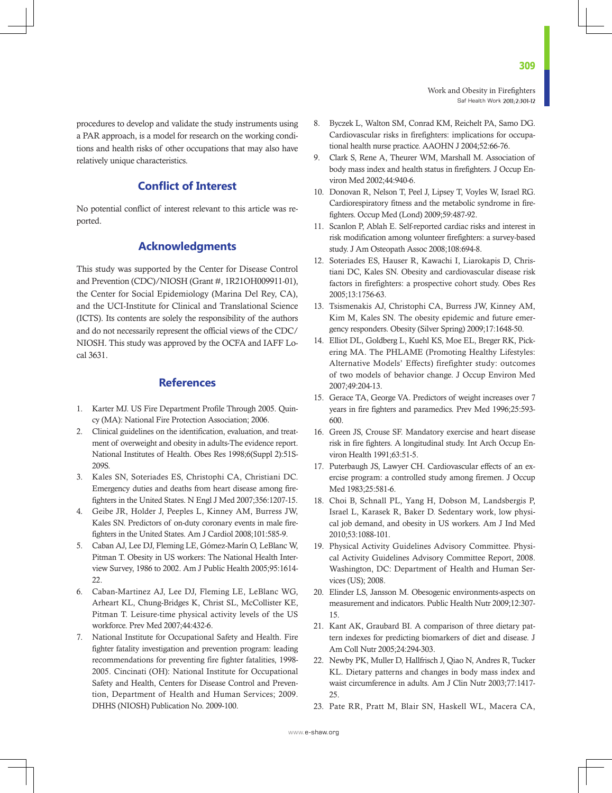Work and Obesity in Firefighters Saf Health Work **2011;2:301**-**12**

procedures to develop and validate the study instruments using a PAR approach, is a model for research on the working conditions and health risks of other occupations that may also have relatively unique characteristics.

# **Conflict of Interest**

No potential conflict of interest relevant to this article was reported.

# **Acknowledgments**

This study was supported by the Center for Disease Control and Prevention (CDC)/NIOSH (Grant #, 1R21OH009911-01), the Center for Social Epidemiology (Marina Del Rey, CA), and the UCI-Institute for Clinical and Translational Science (ICTS). Its contents are solely the responsibility of the authors and do not necessarily represent the official views of the CDC/ NIOSH. This study was approved by the OCFA and IAFF Local 3631.

## **References**

- 1. Karter MJ. US Fire Department Profile Through 2005. Quincy (MA): National Fire Protection Association; 2006.
- 2. Clinical guidelines on the identification, evaluation, and treatment of overweight and obesity in adults-The evidence report. National Institutes of Health. Obes Res 1998;6(Suppl 2):51S-209S.
- 3. Kales SN, Soteriades ES, Christophi CA, Christiani DC. Emergency duties and deaths from heart disease among firefighters in the United States. N Engl J Med 2007;356:1207-15.
- 4. Geibe JR, Holder J, Peeples L, Kinney AM, Burress JW, Kales SN. Predictors of on-duty coronary events in male firefighters in the United States. Am J Cardiol 2008;101:585-9.
- 5. Caban AJ, Lee DJ, Fleming LE, Gómez-Marín O, LeBlanc W, Pitman T. Obesity in US workers: The National Health Interview Survey, 1986 to 2002. Am J Public Health 2005;95:1614- 22.
- 6. Caban-Martinez AJ, Lee DJ, Fleming LE, LeBlanc WG, Arheart KL, Chung-Bridges K, Christ SL, McCollister KE, Pitman T. Leisure-time physical activity levels of the US workforce. Prev Med 2007;44:432-6.
- 7. National Institute for Occupational Safety and Health. Fire fighter fatality investigation and prevention program: leading recommendations for preventing fire fighter fatalities, 1998- 2005. Cincinati (OH): National Institute for Occupational Safety and Health, Centers for Disease Control and Prevention, Department of Health and Human Services; 2009. DHHS (NIOSH) Publication No. 2009-100.
- 8. Byczek L, Walton SM, Conrad KM, Reichelt PA, Samo DG. Cardiovascular risks in firefighters: implications for occupational health nurse practice. AAOHN J 2004;52:66-76.
- 9. Clark S, Rene A, Theurer WM, Marshall M. Association of body mass index and health status in firefighters. J Occup Environ Med 2002;44:940-6.
- 10. Donovan R, Nelson T, Peel J, Lipsey T, Voyles W, Israel RG. Cardiorespiratory fitness and the metabolic syndrome in firefighters. Occup Med (Lond) 2009;59:487-92.
- 11. Scanlon P, Ablah E. Self-reported cardiac risks and interest in risk modification among volunteer firefighters: a survey-based study. J Am Osteopath Assoc 2008;108:694-8.
- 12. Soteriades ES, Hauser R, Kawachi I, Liarokapis D, Christiani DC, Kales SN. Obesity and cardiovascular disease risk factors in firefighters: a prospective cohort study. Obes Res 2005;13:1756-63.
- 13. Tsismenakis AJ, Christophi CA, Burress JW, Kinney AM, Kim M, Kales SN. The obesity epidemic and future emergency responders. Obesity (Silver Spring) 2009;17:1648-50.
- 14. Elliot DL, Goldberg L, Kuehl KS, Moe EL, Breger RK, Pickering MA. The PHLAME (Promoting Healthy Lifestyles: Alternative Models' Effects) firefighter study: outcomes of two models of behavior change. J Occup Environ Med 2007;49:204-13.
- 15. Gerace TA, George VA. Predictors of weight increases over 7 years in fire fighters and paramedics. Prev Med 1996;25:593- 600.
- 16. Green JS, Crouse SF. Mandatory exercise and heart disease risk in fire fighters. A longitudinal study. Int Arch Occup Environ Health 1991;63:51-5.
- 17. Puterbaugh JS, Lawyer CH. Cardiovascular effects of an exercise program: a controlled study among firemen. J Occup Med 1983;25:581-6.
- 18. Choi B, Schnall PL, Yang H, Dobson M, Landsbergis P, Israel L, Karasek R, Baker D. Sedentary work, low physical job demand, and obesity in US workers. Am J Ind Med 2010;53:1088-101.
- 19. Physical Activity Guidelines Advisory Committee. Physical Activity Guidelines Advisory Committee Report, 2008. Washington, DC: Department of Health and Human Services (US); 2008.
- 20. Elinder LS, Jansson M. Obesogenic environments-aspects on measurement and indicators. Public Health Nutr 2009;12:307- 15.
- 21. Kant AK, Graubard BI. A comparison of three dietary pattern indexes for predicting biomarkers of diet and disease. J Am Coll Nutr 2005;24:294-303.
- 22. Newby PK, Muller D, Hallfrisch J, Qiao N, Andres R, Tucker KL. Dietary patterns and changes in body mass index and waist circumference in adults. Am J Clin Nutr 2003;77:1417- 25.
- 23. Pate RR, Pratt M, Blair SN, Haskell WL, Macera CA,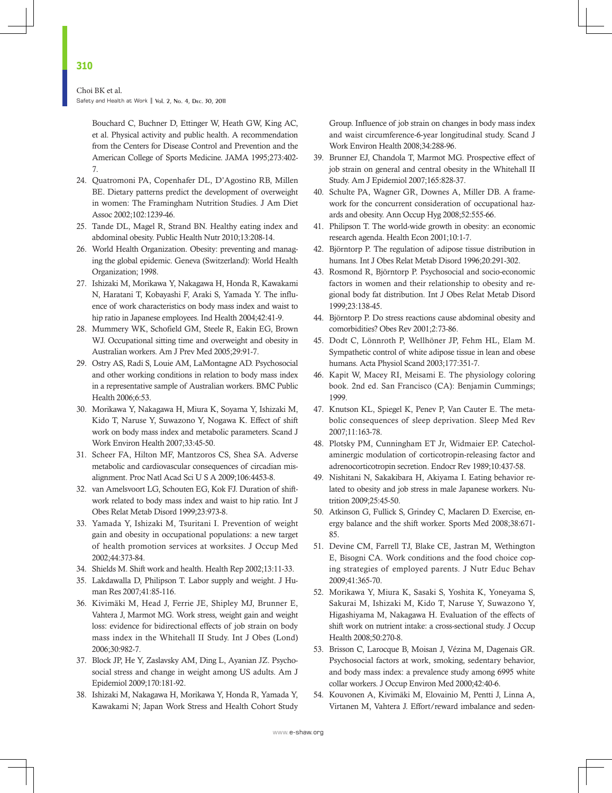Choi BK et al. Safety and Health at Work | **Vol. 2, No. 4, Dec. 30, 2011**

> Bouchard C, Buchner D, Ettinger W, Heath GW, King AC, et al. Physical activity and public health. A recommendation from the Centers for Disease Control and Prevention and the American College of Sports Medicine. JAMA 1995;273:402- 7.

- 24. Quatromoni PA, Copenhafer DL, D'Agostino RB, Millen BE. Dietary patterns predict the development of overweight in women: The Framingham Nutrition Studies. J Am Diet Assoc 2002;102:1239-46.
- 25. Tande DL, Magel R, Strand BN. Healthy eating index and abdominal obesity. Public Health Nutr 2010;13:208-14.
- 26. World Health Organization. Obesity: preventing and managing the global epidemic. Geneva (Switzerland): World Health Organization; 1998.
- 27. Ishizaki M, Morikawa Y, Nakagawa H, Honda R, Kawakami N, Haratani T, Kobayashi F, Araki S, Yamada Y. The influence of work characteristics on body mass index and waist to hip ratio in Japanese employees. Ind Health 2004;42:41-9.
- 28. Mummery WK, Schofield GM, Steele R, Eakin EG, Brown WJ. Occupational sitting time and overweight and obesity in Australian workers. Am J Prev Med 2005;29:91-7.
- 29. Ostry AS, Radi S, Louie AM, LaMontagne AD. Psychosocial and other working conditions in relation to body mass index in a representative sample of Australian workers. BMC Public Health 2006;6:53.
- 30. Morikawa Y, Nakagawa H, Miura K, Soyama Y, Ishizaki M, Kido T, Naruse Y, Suwazono Y, Nogawa K. Effect of shift work on body mass index and metabolic parameters. Scand J Work Environ Health 2007;33:45-50.
- 31. Scheer FA, Hilton MF, Mantzoros CS, Shea SA. Adverse metabolic and cardiovascular consequences of circadian misalignment. Proc Natl Acad Sci U S A 2009;106:4453-8.
- 32. van Amelsvoort LG, Schouten EG, Kok FJ. Duration of shiftwork related to body mass index and waist to hip ratio. Int J Obes Relat Metab Disord 1999;23:973-8.
- 33. Yamada Y, Ishizaki M, Tsuritani I. Prevention of weight gain and obesity in occupational populations: a new target of health promotion services at worksites. J Occup Med 2002;44:373-84.
- 34. Shields M. Shift work and health. Health Rep 2002;13:11-33.
- 35. Lakdawalla D, Philipson T. Labor supply and weight. J Human Res 2007;41:85-116.
- 36. Kivimäki M, Head J, Ferrie JE, Shipley MJ, Brunner E, Vahtera J, Marmot MG. Work stress, weight gain and weight loss: evidence for bidirectional effects of job strain on body mass index in the Whitehall II Study. Int J Obes (Lond) 2006;30:982-7.
- 37. Block JP, He Y, Zaslavsky AM, Ding L, Ayanian JZ. Psychosocial stress and change in weight among US adults. Am J Epidemiol 2009;170:181-92.
- 38. Ishizaki M, Nakagawa H, Morikawa Y, Honda R, Yamada Y, Kawakami N; Japan Work Stress and Health Cohort Study

Group. Influence of job strain on changes in body mass index and waist circumference-6-year longitudinal study. Scand J Work Environ Health 2008;34:288-96.

- 39. Brunner EJ, Chandola T, Marmot MG. Prospective effect of job strain on general and central obesity in the Whitehall II Study. Am J Epidemiol 2007;165:828-37.
- 40. Schulte PA, Wagner GR, Downes A, Miller DB. A framework for the concurrent consideration of occupational hazards and obesity. Ann Occup Hyg 2008;52:555-66.
- 41. Philipson T. The world-wide growth in obesity: an economic research agenda. Health Econ 2001;10:1-7.
- 42. Björntorp P. The regulation of adipose tissue distribution in humans. Int J Obes Relat Metab Disord 1996;20:291-302.
- 43. Rosmond R, Björntorp P. Psychosocial and socio-economic factors in women and their relationship to obesity and regional body fat distribution. Int J Obes Relat Metab Disord 1999;23:138-45.
- 44. Björntorp P. Do stress reactions cause abdominal obesity and comorbidities? Obes Rev 2001;2:73-86.
- 45. Dodt C, Lönnroth P, Wellhöner JP, Fehm HL, Elam M. Sympathetic control of white adipose tissue in lean and obese humans. Acta Physiol Scand 2003;177:351-7.
- 46. Kapit W, Macey RI, Meisami E. The physiology coloring book. 2nd ed. San Francisco (CA): Benjamin Cummings; 1999.
- 47. Knutson KL, Spiegel K, Penev P, Van Cauter E. The metabolic consequences of sleep deprivation. Sleep Med Rev 2007;11:163-78.
- 48. Plotsky PM, Cunningham ET Jr, Widmaier EP. Catecholaminergic modulation of corticotropin-releasing factor and adrenocorticotropin secretion. Endocr Rev 1989;10:437-58.
- 49. Nishitani N, Sakakibara H, Akiyama I. Eating behavior related to obesity and job stress in male Japanese workers. Nutrition 2009;25:45-50.
- 50. Atkinson G, Fullick S, Grindey C, Maclaren D. Exercise, energy balance and the shift worker. Sports Med 2008;38:671- 85.
- 51. Devine CM, Farrell TJ, Blake CE, Jastran M, Wethington E, Bisogni CA. Work conditions and the food choice coping strategies of employed parents. J Nutr Educ Behav 2009;41:365-70.
- 52. Morikawa Y, Miura K, Sasaki S, Yoshita K, Yoneyama S, Sakurai M, Ishizaki M, Kido T, Naruse Y, Suwazono Y, Higashiyama M, Nakagawa H. Evaluation of the effects of shift work on nutrient intake: a cross-sectional study. J Occup Health 2008;50:270-8.
- 53. Brisson C, Larocque B, Moisan J, Vézina M, Dagenais GR. Psychosocial factors at work, smoking, sedentary behavior, and body mass index: a prevalence study among 6995 white collar workers. J Occup Environ Med 2000;42:40-6.
- 54. Kouvonen A, Kivimäki M, Elovainio M, Pentti J, Linna A, Virtanen M, Vahtera J. Effort/reward imbalance and seden-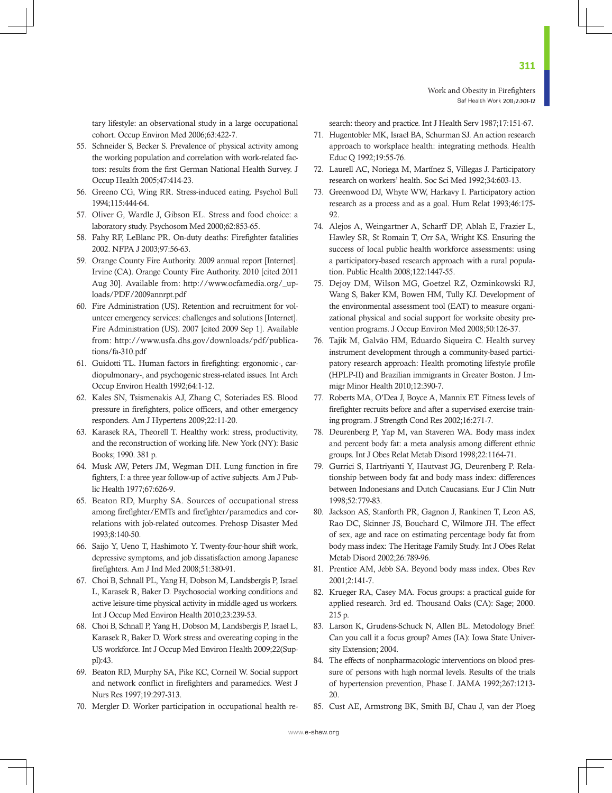Work and Obesity in Firefighters Saf Health Work **2011;2:301**-**12**

tary lifestyle: an observational study in a large occupational cohort. Occup Environ Med 2006;63:422-7.

- 55. Schneider S, Becker S. Prevalence of physical activity among the working population and correlation with work-related factors: results from the first German National Health Survey. J Occup Health 2005;47:414-23.
- 56. Greeno CG, Wing RR. Stress-induced eating. Psychol Bull 1994;115:444-64.
- 57. Oliver G, Wardle J, Gibson EL. Stress and food choice: a laboratory study. Psychosom Med 2000;62:853-65.
- 58. Fahy RF, LeBlanc PR. On-duty deaths: Firefighter fatalities 2002. NFPA J 2003;97:56-63.
- 59. Orange County Fire Authority. 2009 annual report [Internet]. Irvine (CA). Orange County Fire Authority. 2010 [cited 2011 Aug 30]. Available from: http://www.ocfamedia.org/\_uploads/PDF/2009annrpt.pdf
- 60. Fire Administration (US). Retention and recruitment for volunteer emergency services: challenges and solutions [Internet]. Fire Administration (US). 2007 [cited 2009 Sep 1]. Available from: http://www.usfa.dhs.gov/downloads/pdf/publications/fa-310.pdf
- 61. Guidotti TL. Human factors in firefighting: ergonomic-, cardiopulmonary-, and psychogenic stress-related issues. Int Arch Occup Environ Health 1992;64:1-12.
- 62. Kales SN, Tsismenakis AJ, Zhang C, Soteriades ES. Blood pressure in firefighters, police officers, and other emergency responders. Am J Hypertens 2009;22:11-20.
- 63. Karasek RA, Theorell T. Healthy work: stress, productivity, and the reconstruction of working life. New York (NY): Basic Books; 1990. 381 p.
- 64. Musk AW, Peters JM, Wegman DH. Lung function in fire fighters, I: a three year follow-up of active subjects. Am J Public Health 1977;67:626-9.
- 65. Beaton RD, Murphy SA. Sources of occupational stress among firefighter/EMTs and firefighter/paramedics and correlations with job-related outcomes. Prehosp Disaster Med 1993;8:140-50.
- 66. Saijo Y, Ueno T, Hashimoto Y. Twenty-four-hour shift work, depressive symptoms, and job dissatisfaction among Japanese firefighters. Am J Ind Med 2008;51:380-91.
- 67. Choi B, Schnall PL, Yang H, Dobson M, Landsbergis P, Israel L, Karasek R, Baker D. Psychosocial working conditions and active leisure-time physical activity in middle-aged us workers. Int J Occup Med Environ Health 2010;23:239-53.
- 68. Choi B, Schnall P, Yang H, Dobson M, Landsbergis P, Israel L, Karasek R, Baker D. Work stress and overeating coping in the US workforce. Int J Occup Med Environ Health 2009;22(Suppl):43.
- 69. Beaton RD, Murphy SA, Pike KC, Corneil W. Social support and network conflict in firefighters and paramedics. West J Nurs Res 1997;19:297-313.
- 70. Mergler D. Worker participation in occupational health re-

search: theory and practice. Int J Health Serv 1987;17:151-67.

- 71. Hugentobler MK, Israel BA, Schurman SJ. An action research approach to workplace health: integrating methods. Health Educ Q 1992;19:55-76.
- 72. Laurell AC, Noriega M, Martĭnez S, Villegas J. Participatory research on workers' health. Soc Sci Med 1992;34:603-13.
- 73. Greenwood DJ, Whyte WW, Harkavy I. Participatory action research as a process and as a goal. Hum Relat 1993;46:175- 92.
- 74. Alejos A, Weingartner A, Scharff DP, Ablah E, Frazier L, Hawley SR, St Romain T, Orr SA, Wright KS. Ensuring the success of local public health workforce assessments: using a participatory-based research approach with a rural population. Public Health 2008;122:1447-55.
- 75. Dejoy DM, Wilson MG, Goetzel RZ, Ozminkowski RJ, Wang S, Baker KM, Bowen HM, Tully KJ. Development of the environmental assessment tool (EAT) to measure organizational physical and social support for worksite obesity prevention programs. J Occup Environ Med 2008;50:126-37.
- 76. Tajik M, Galvão HM, Eduardo Siqueira C. Health survey instrument development through a community-based participatory research approach: Health promoting lifestyle profile (HPLP-II) and Brazilian immigrants in Greater Boston. J Immigr Minor Health 2010;12:390-7.
- 77. Roberts MA, O'Dea J, Boyce A, Mannix ET. Fitness levels of firefighter recruits before and after a supervised exercise training program. J Strength Cond Res 2002;16:271-7.
- 78. Deurenberg P, Yap M, van Staveren WA. Body mass index and percent body fat: a meta analysis among different ethnic groups. Int J Obes Relat Metab Disord 1998;22:1164-71.
- 79. Gurrici S, Hartriyanti Y, Hautvast JG, Deurenberg P. Relationship between body fat and body mass index: differences between Indonesians and Dutch Caucasians. Eur J Clin Nutr 1998;52:779-83.
- 80. Jackson AS, Stanforth PR, Gagnon J, Rankinen T, Leon AS, Rao DC, Skinner JS, Bouchard C, Wilmore JH. The effect of sex, age and race on estimating percentage body fat from body mass index: The Heritage Family Study. Int J Obes Relat Metab Disord 2002;26:789-96.
- 81. Prentice AM, Jebb SA. Beyond body mass index. Obes Rev 2001;2:141-7.
- 82. Krueger RA, Casey MA. Focus groups: a practical guide for applied research. 3rd ed. Thousand Oaks (CA): Sage; 2000. 215 p.
- 83. Larson K, Grudens-Schuck N, Allen BL. Metodology Brief: Can you call it a focus group? Ames (IA): Iowa State University Extension; 2004.
- 84. The effects of nonpharmacologic interventions on blood pressure of persons with high normal levels. Results of the trials of hypertension prevention, Phase I. JAMA 1992;267:1213- 20.
- 85. Cust AE, Armstrong BK, Smith BJ, Chau J, van der Ploeg